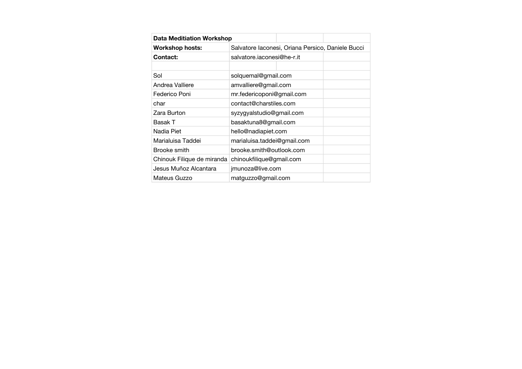| <b>Data Meditiation Workshop</b> |                             |                                                   |  |
|----------------------------------|-----------------------------|---------------------------------------------------|--|
| Workshop hosts:                  |                             | Salvatore Iaconesi, Oriana Persico, Daniele Bucci |  |
| Contact:                         | salvatore.jaconesi@he-r.jt  |                                                   |  |
|                                  |                             |                                                   |  |
| Sol                              | solquemal@gmail.com         |                                                   |  |
| Andrea Valliere                  | amvalliere@gmail.com        |                                                   |  |
| Federico Poni                    | mr.federicoponi@gmail.com   |                                                   |  |
| char                             | contact@charstiles.com      |                                                   |  |
| Zara Burton                      | syzygyalstudio@gmail.com    |                                                   |  |
| Basak T                          | basaktuna8@gmail.com        |                                                   |  |
| Nadia Piet                       | hello@nadiapiet.com         |                                                   |  |
| Marialuisa Taddei                | marialuisa.taddei@gmail.com |                                                   |  |
| Brooke smith                     | brooke.smith@outlook.com    |                                                   |  |
| Chinouk Filique de miranda       | chinoukfilique@gmail.com    |                                                   |  |
| Jesus Muñoz Alcantara            | jmunoza@live.com            |                                                   |  |
| Mateus Guzzo                     | matguzzo@gmail.com          |                                                   |  |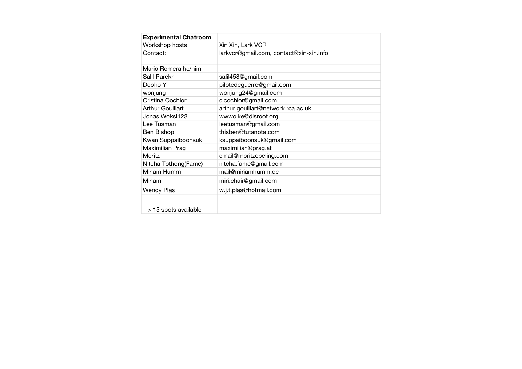| <b>Experimental Chatroom</b>        |                                         |
|-------------------------------------|-----------------------------------------|
| Workshop hosts                      | Xin Xin, Lark VCR                       |
| Contact:                            | larkvcr@gmail.com, contact@xin-xin.info |
| Mario Romera he/him<br>Salil Parekh | salil458@gmail.com                      |
| Dooho Yi                            | pilotedeguerre@gmail.com                |
| wonjung                             | wonjung24@gmail.com                     |
| Cristina Cochior                    | clcochior@gmail.com                     |
| <b>Arthur Gouillart</b>             | arthur.gouillart@network.rca.ac.uk      |
| Jonas Woksi123                      | wwwolke@disroot.org                     |
| Lee Tusman                          | leetusman@gmail.com                     |
| Ben Bishop                          | thisben@tutanota.com                    |
| Kwan Suppaiboonsuk                  | ksuppaiboonsuk@gmail.com                |
| Maximilian Prag                     | maximilian@prag.at                      |
| Moritz                              | email@moritzebeling.com                 |
| Nitcha Tothong(Fame)                | nitcha.fame@gmail.com                   |
| Miriam Humm                         | mail@miriamhumm.de                      |
| Miriam                              | miri.chair@gmail.com                    |
| <b>Wendy Plas</b>                   | w.j.t.plas@hotmail.com                  |
|                                     |                                         |
| --> 15 spots available              |                                         |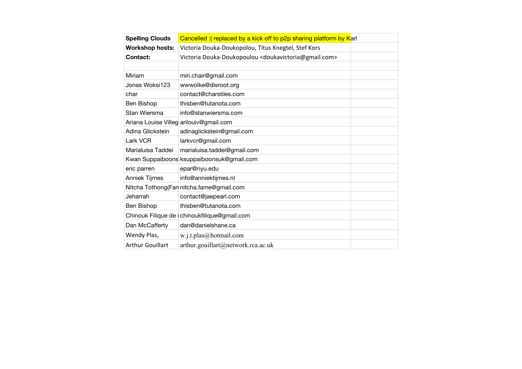| <b>Spelling Clouds</b>  | Cancelled: (replaced by a kick off to p2p sharing platform by Karl             |  |
|-------------------------|--------------------------------------------------------------------------------|--|
| <b>Workshop hosts:</b>  | Victoria Douka-Doukopolou, Titus Knegtel, Stef Kors                            |  |
| Contact:                | Victoria Douka-Doukopoulou <doukavictoria@gmail.com></doukavictoria@gmail.com> |  |
|                         |                                                                                |  |
| Miriam                  | miri.chair@gmail.com                                                           |  |
| Jonas Woksi123          | wwwolke@disroot.org                                                            |  |
| char                    | contact@charstiles.com                                                         |  |
| Ben Bishop              | thisben@tutanota.com                                                           |  |
| Stan Wiersma            | info@stanwiersma.com                                                           |  |
|                         | Ariana Louise Villeg arilouiv@gmail.com                                        |  |
| Adina Glickstein        | adinaglickstein@gmail.com                                                      |  |
| Lark VCR                | larkvcr@gmail.com                                                              |  |
| Marialuisa Taddei       | marialuisa.taddei@gmail.com                                                    |  |
|                         | Kwan Suppaiboons ksuppaiboonsuk@gmail.com                                      |  |
| eric parren             | epar@nyu.edu                                                                   |  |
| Anniek Tijmes           | info@anniektijmes.nl                                                           |  |
|                         | Nitcha Tothong (Fan nitcha.fame@gmail.com                                      |  |
| Jeharrah                | contact@jaepearl.com                                                           |  |
| Ben Bishop              | thisben@tutanota.com                                                           |  |
|                         | Chinouk Filique de chinoukfilique@gmail.com                                    |  |
| Dan McCafferty          | dan@danielshane.ca                                                             |  |
| Wendy Plas,             | w.j.t.plas@hotmail.com                                                         |  |
| <b>Arthur Gouillart</b> | arthur.gouillart@network.rca.ac.uk                                             |  |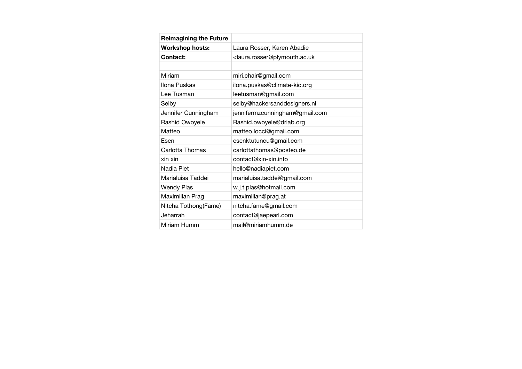| <b>Reimagining the Future</b> |                                                                     |
|-------------------------------|---------------------------------------------------------------------|
| <b>Workshop hosts:</b>        | Laura Rosser, Karen Abadie                                          |
| Contact:                      | <laura.rosser@plymouth.ac.uk< td=""></laura.rosser@plymouth.ac.uk<> |
|                               |                                                                     |
| Miriam                        | miri.chair@gmail.com                                                |
| Ilona Puskas                  | ilona.puskas@climate-kic.org                                        |
| Lee Tusman                    | leetusman@gmail.com                                                 |
| Selby                         | selby@hackersanddesigners.nl                                        |
| Jennifer Cunningham           | jennifermzcunningham@gmail.com                                      |
| Rashid Owoyele                | Rashid.owoyele@drlab.org                                            |
| Matteo                        | matteo.locci@gmail.com                                              |
| Esen                          | esenktutuncu@gmail.com                                              |
| Carlotta Thomas               | carlottathomas@posteo.de                                            |
| xin xin                       | $contact@xin-xin.info$                                              |
| Nadia Piet                    | hello@nadiapiet.com                                                 |
| Marialuisa Taddei             | marialuisa.taddei@gmail.com                                         |
| <b>Wendy Plas</b>             | w.j.t.plas@hotmail.com                                              |
| Maximilian Prag               | maximilian@prag.at                                                  |
| Nitcha Tothong(Fame)          | nitcha.fame@gmail.com                                               |
| Jeharrah                      | contact@jaepearl.com                                                |
| Miriam Humm                   | mail@miriamhumm.de                                                  |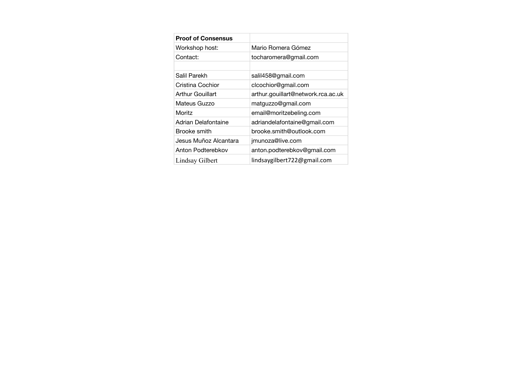| <b>Proof of Consensus</b> |                                    |
|---------------------------|------------------------------------|
| Workshop host:            | Mario Romera Gómez                 |
| Contact:                  | tocharomera@gmail.com              |
|                           |                                    |
| Salil Parekh              | salil458@gmail.com                 |
| Cristina Cochior          | clcochior@gmail.com                |
| Arthur Gouillart          | arthur.gouillart@network.rca.ac.uk |
| Mateus Guzzo              | matguzzo@gmail.com                 |
| Moritz                    | email@moritzebeling.com            |
| Adrian Delafontaine       | adriandelafontaine@gmail.com       |
| Brooke smith              | brooke.smith@outlook.com           |
| Jesus Muñoz Alcantara     | jmunoza@live.com                   |
| Anton Podterebkov         | anton.podterebkov@gmail.com        |
| Lindsay Gilbert           | lindsaygilbert722@gmail.com        |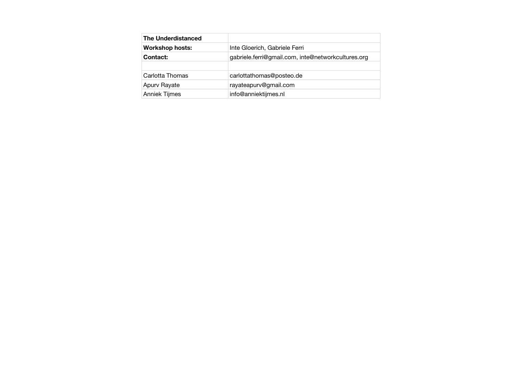| <b>The Underdistanced</b> |                                                    |
|---------------------------|----------------------------------------------------|
| <b>Workshop hosts:</b>    | Inte Gloerich, Gabriele Ferri                      |
| Contact:                  | gabriele.ferri@gmail.com, inte@networkcultures.org |
|                           |                                                    |
| Carlotta Thomas           | carlottathomas@posteo.de                           |
| Apurv Rayate              | rayateapurv@gmail.com                              |
| Anniek Tijmes             | info@anniektijmes.nl                               |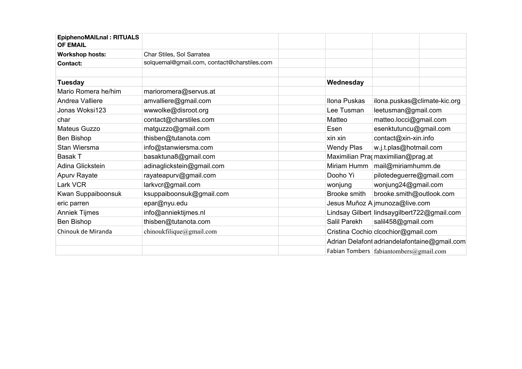| <b>EpiphenoMAILnal: RITUALS</b><br><b>OF EMAIL</b> |                                             |                   |                                              |
|----------------------------------------------------|---------------------------------------------|-------------------|----------------------------------------------|
| <b>Workshop hosts:</b>                             | Char Stiles, Sol Sarratea                   |                   |                                              |
| Contact:                                           | solquemal@gmail.com, contact@charstiles.com |                   |                                              |
|                                                    |                                             |                   |                                              |
| <b>Tuesday</b>                                     |                                             | Wednesday         |                                              |
| Mario Romera he/him                                | marioromera@servus.at                       |                   |                                              |
| Andrea Valliere                                    | amvalliere@gmail.com                        | Ilona Puskas      | ilona.puskas@climate-kic.org                 |
| Jonas Woksi123                                     | wwwolke@disroot.org                         | Lee Tusman        | leetusman@gmail.com                          |
| char                                               | contact@charstiles.com                      | Matteo            | matteo.locci@gmail.com                       |
| Mateus Guzzo                                       | matguzzo@gmail.com                          | Esen              | esenktutuncu@gmail.com                       |
| Ben Bishop                                         | thisben@tutanota.com                        | xin xin           | contact@xin-xin.info                         |
| Stan Wiersma                                       | info@stanwiersma.com                        | <b>Wendy Plas</b> | w.j.t.plas@hotmail.com                       |
| <b>Basak T</b>                                     | basaktuna8@gmail.com                        |                   | Maximilian Pragmaximilian@prag.at            |
| Adina Glickstein                                   | adinaglickstein@gmail.com                   | Miriam Humm       | mail@miriamhumm.de                           |
| Apurv Rayate                                       | rayateapurv@gmail.com                       | Dooho Yi          | pilotedeguerre@gmail.com                     |
| Lark VCR                                           | larkvcr@gmail.com                           | wonjung           | wonjung24@gmail.com                          |
| Kwan Suppaiboonsuk                                 | ksuppaiboonsuk@gmail.com                    | Brooke smith      | brooke.smith@outlook.com                     |
| eric parren                                        | epar@nyu.edu                                |                   | Jesus Muñoz A jmunoza@live.com               |
| <b>Anniek Tijmes</b>                               | info@anniektijmes.nl                        |                   | Lindsay Gilbert lindsaygilbert722@gmail.com  |
| Ben Bishop                                         | thisben@tutanota.com                        | Salil Parekh      | salil458@gmail.com                           |
| Chinouk de Miranda                                 | chinoukfilique@gmail.com                    |                   | Cristina Cochio clcochior@gmail.com          |
|                                                    |                                             |                   | Adrian Delafont adriandelafontaine@gmail.com |
|                                                    |                                             |                   | Fabian Tombers fabiantombers@gmail.com       |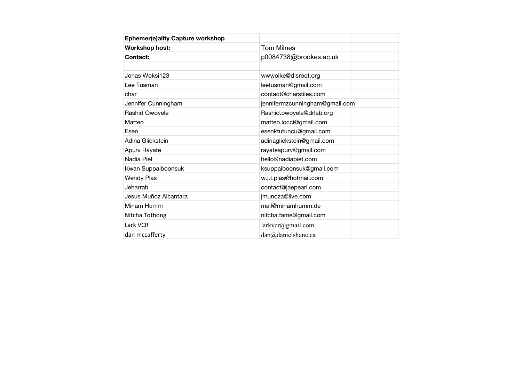| <b>Ephemer(e)ality Capture workshop</b> |                                |  |
|-----------------------------------------|--------------------------------|--|
| <b>Workshop host:</b>                   | <b>Tom Milnes</b>              |  |
| Contact:                                | p0084738@brookes.ac.uk         |  |
|                                         |                                |  |
| Jonas Woksi123                          | wwwolke@disroot.org            |  |
| Lee Tusman                              | leetusman@gmail.com            |  |
| char                                    | contact@charstiles.com         |  |
| Jennifer Cunningham                     | jennifermzcunningham@gmail.com |  |
| Rashid Owoyele                          | Rashid.owoyele@drlab.org       |  |
| Matteo                                  | matteo.locci@gmail.com         |  |
| Esen                                    | esenktutuncu@gmail.com         |  |
| Adina Glickstein                        | adinaglickstein@gmail.com      |  |
| Apurv Rayate                            | rayateapurv@gmail.com          |  |
| Nadia Piet                              | hello@nadiapiet.com            |  |
| Kwan Suppaiboonsuk                      | ksuppaiboonsuk@gmail.com       |  |
| <b>Wendy Plas</b>                       | w.j.t.plas@hotmail.com         |  |
| Jeharrah                                | contact@jaepearl.com           |  |
| Jesus Muñoz Alcantara                   | jmunoza@live.com               |  |
| Miriam Humm                             | mail@miriamhumm.de             |  |
| Nitcha Tothong                          | nitcha.fame@gmail.com          |  |
| Lark VCR                                | larkvcr@gmail.com              |  |
| dan mccafferty                          | dan@danielshane.ca             |  |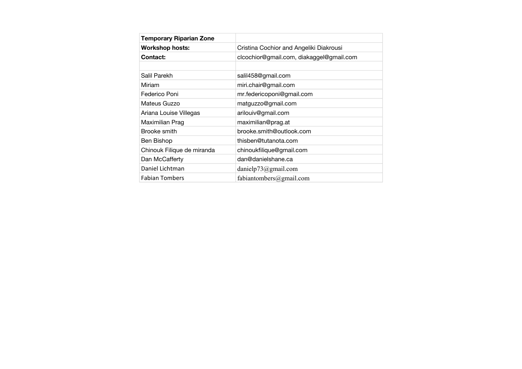| <b>Temporary Riparian Zone</b> |                                          |
|--------------------------------|------------------------------------------|
| <b>Workshop hosts:</b>         | Cristina Cochior and Angeliki Diakrousi  |
| Contact:                       | clcochior@gmail.com, diakaggel@gmail.com |
|                                |                                          |
| Salil Parekh                   | salil458@gmail.com                       |
| Miriam                         | miri.chair@gmail.com                     |
| Federico Poni                  | mr.federicoponi@gmail.com                |
| Mateus Guzzo                   | matguzzo@gmail.com                       |
| Ariana Louise Villegas         | arilouiv@gmail.com                       |
| Maximilian Prag                | maximilian@prag.at                       |
| Brooke smith                   | brooke.smith@outlook.com                 |
| Ben Bishop                     | thisben@tutanota.com                     |
| Chinouk Filique de miranda     | chinoukfilique@gmail.com                 |
| Dan McCafferty                 | dan@danielshane.ca                       |
| Daniel Lichtman                | danielp73@gmail.com                      |
| <b>Fabian Tombers</b>          | fabiantombers@gmail.com                  |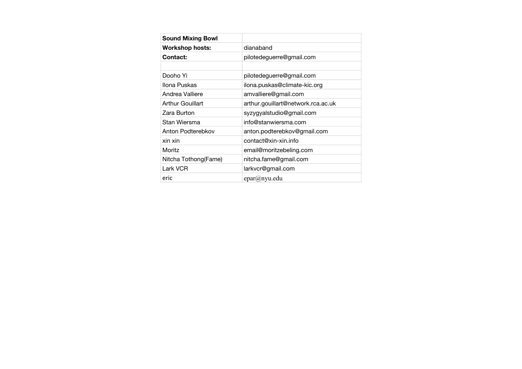| <b>Sound Mixing Bowl</b> |                                    |
|--------------------------|------------------------------------|
| <b>Workshop hosts:</b>   | dianaband                          |
| Contact:                 | pilotedeguerre@gmail.com           |
|                          |                                    |
| Dooho Yi                 | pilotedeguerre@gmail.com           |
| Ilona Puskas             | ilona.puskas@climate-kic.org       |
| Andrea Valliere          | amvalliere@gmail.com               |
| Arthur Gouillart         | arthur.gouillart@network.rca.ac.uk |
| Zara Burton              | syzygyalstudio@gmail.com           |
| Stan Wiersma             | info@stanwiersma.com               |
| Anton Podterebkov        | anton.podterebkov@gmail.com        |
| xin xin                  | contact@xin-xin.info               |
| Moritz                   | email@moritzebeling.com            |
| Nitcha Tothong(Fame)     | nitcha.fame@gmail.com              |
| Lark VCR                 | larkvcr@gmail.com                  |
| eric                     | epar@nyu.edu                       |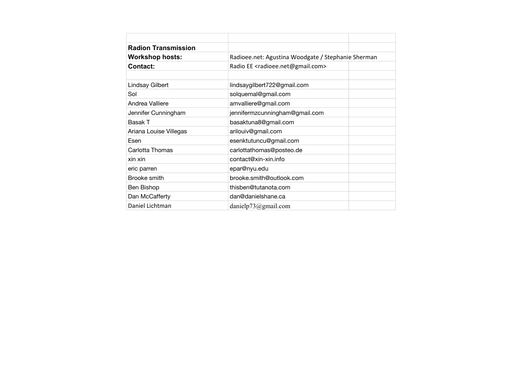| <b>Radion Transmission</b> |                                                          |  |
|----------------------------|----------------------------------------------------------|--|
| <b>Workshop hosts:</b>     | Radioee.net: Agustina Woodgate / Stephanie Sherman       |  |
| <b>Contact:</b>            | Radio EE <radioee.net@gmail.com></radioee.net@gmail.com> |  |
| Lindsay Gilbert            | lindsaygilbert722@gmail.com                              |  |
| Sol                        | solquemal@gmail.com                                      |  |
| Andrea Valliere            | amvalliere@gmail.com                                     |  |
| Jennifer Cunningham        | jennifermzcunningham@gmail.com                           |  |
| <b>Basak T</b>             | basaktuna8@gmail.com                                     |  |
| Ariana Louise Villegas     | arilouiv@gmail.com                                       |  |
| Esen                       | esenktutuncu@gmail.com                                   |  |
| Carlotta Thomas            | carlottathomas@posteo.de                                 |  |
| xin xin                    | contact@xin-xin.info                                     |  |
| eric parren                | epar@nyu.edu                                             |  |
| Brooke smith               | brooke.smith@outlook.com                                 |  |
| Ben Bishop                 | thisben@tutanota.com                                     |  |
| Dan McCafferty             | dan@danielshane.ca                                       |  |
| Daniel Lichtman            | danielp73@gmail.com                                      |  |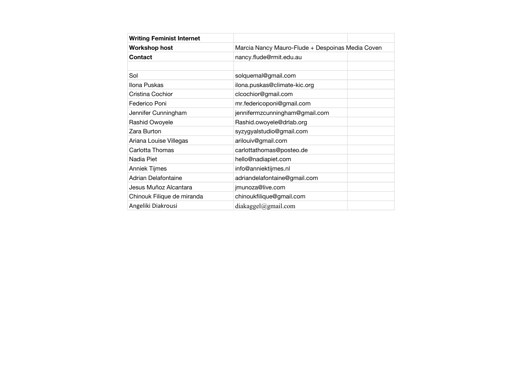| <b>Writing Feminist Internet</b> |                                |                                                  |  |
|----------------------------------|--------------------------------|--------------------------------------------------|--|
| <b>Workshop host</b>             |                                | Marcia Nancy Mauro-Flude + Despoinas Media Coven |  |
| Contact                          | nancy.flude@rmit.edu.au        |                                                  |  |
| Sol                              | solquemal@gmail.com            |                                                  |  |
| Ilona Puskas                     | ilona.puskas@climate-kic.org   |                                                  |  |
| Cristina Cochior                 | clcochior@gmail.com            |                                                  |  |
| Federico Poni                    | mr.federicoponi@gmail.com      |                                                  |  |
| Jennifer Cunningham              | jennifermzcunningham@gmail.com |                                                  |  |
| Rashid Owoyele                   | Rashid.owoyele@drlab.org       |                                                  |  |
| Zara Burton                      | syzygyalstudio@gmail.com       |                                                  |  |
| Ariana Louise Villegas           | arilouiv@gmail.com             |                                                  |  |
| Carlotta Thomas                  | carlottathomas@posteo.de       |                                                  |  |
| Nadia Piet                       | hello@nadiapiet.com            |                                                  |  |
| Anniek Tijmes                    | info@anniektijmes.nl           |                                                  |  |
| Adrian Delafontaine              | adriandelafontaine@gmail.com   |                                                  |  |
| Jesus Muñoz Alcantara            | jmunoza@live.com               |                                                  |  |
| Chinouk Filique de miranda       | chinoukfilique@gmail.com       |                                                  |  |
| Angeliki Diakrousi               | diakaggel@gmail.com            |                                                  |  |